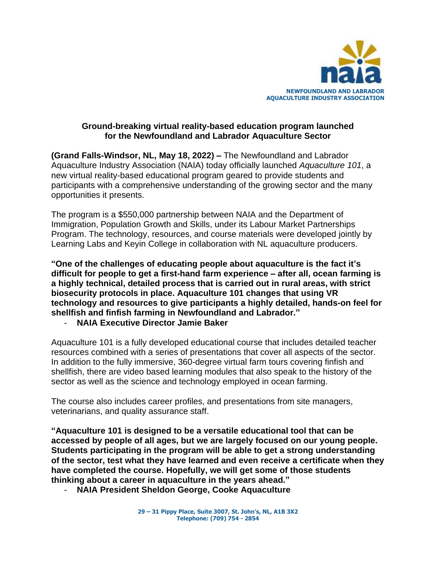

## **Ground-breaking virtual reality-based education program launched for the Newfoundland and Labrador Aquaculture Sector**

**(Grand Falls-Windsor, NL, May 18, 2022) –** The Newfoundland and Labrador Aquaculture Industry Association (NAIA) today officially launched *Aquaculture 101*, a new virtual reality-based educational program geared to provide students and participants with a comprehensive understanding of the growing sector and the many opportunities it presents.

The program is a \$550,000 partnership between NAIA and the Department of Immigration, Population Growth and Skills, under its Labour Market Partnerships Program. The technology, resources, and course materials were developed jointly by Learning Labs and Keyin College in collaboration with NL aquaculture producers.

**"One of the challenges of educating people about aquaculture is the fact it's difficult for people to get a first-hand farm experience – after all, ocean farming is a highly technical, detailed process that is carried out in rural areas, with strict biosecurity protocols in place. Aquaculture 101 changes that using VR technology and resources to give participants a highly detailed, hands-on feel for shellfish and finfish farming in Newfoundland and Labrador."**

- **NAIA Executive Director Jamie Baker**

Aquaculture 101 is a fully developed educational course that includes detailed teacher resources combined with a series of presentations that cover all aspects of the sector. In addition to the fully immersive, 360-degree virtual farm tours covering finfish and shellfish, there are video based learning modules that also speak to the history of the sector as well as the science and technology employed in ocean farming.

The course also includes career profiles, and presentations from site managers, veterinarians, and quality assurance staff.

**"Aquaculture 101 is designed to be a versatile educational tool that can be accessed by people of all ages, but we are largely focused on our young people. Students participating in the program will be able to get a strong understanding of the sector, test what they have learned and even receive a certificate when they have completed the course. Hopefully, we will get some of those students thinking about a career in aquaculture in the years ahead."**

- **NAIA President Sheldon George, Cooke Aquaculture**